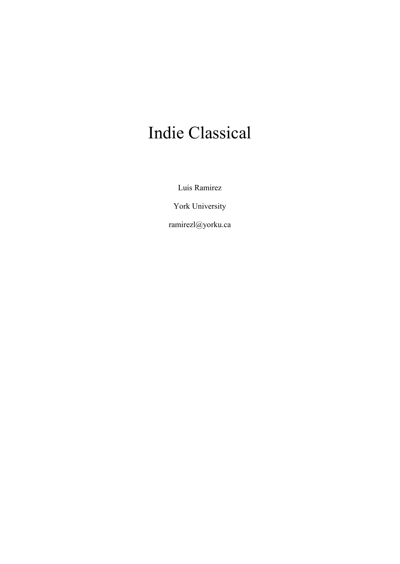# Indie Classical

Luis Ramirez

York University

ramirezl@yorku.ca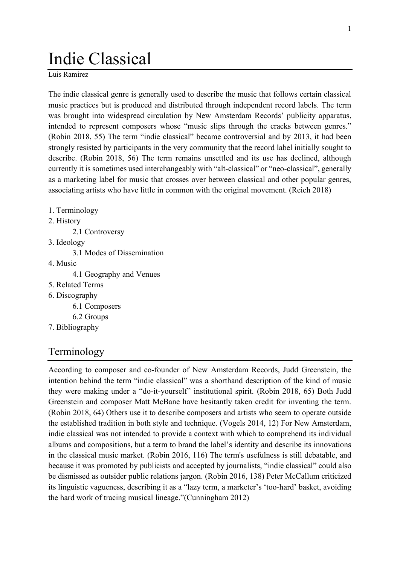# Indie Classical

Luis Ramirez

The indie classical genre is generally used to describe the music that follows certain classical music practices but is produced and distributed through independent record labels. The term was brought into widespread circulation by New Amsterdam Records' publicity apparatus, intended to represent composers whose "music slips through the cracks between genres." [\(Robin 2018, 55\)](https://www.zotero.org/google-docs/?0O5AsR) The term "indie classical" became controversial and by 2013, it had been strongly resisted by participants in the very community that the record label initially sought to describe. [\(Robin 2018, 56\)](https://www.zotero.org/google-docs/?YM3cb2) The term remains unsettled and its use has declined, although currently it is sometimes used interchangeably with "alt-classical" or "neo-classical", generally as a marketing label for music that crosses over between classical and other popular genres, associating artists who have little in common with the original movement. [\(Reich 2018\)](https://www.zotero.org/google-docs/?GwqGYn)

- 1. Terminology
- 2. History
	- 2.1 Controversy
- 3. Ideology
	- 3.1 Modes of Dissemination
- 4. Music
	- 4.1 Geography and Venues
- 5. Related Terms
- 6. Discography
	- 6.1 Composers
	- 6.2 Groups
- 7. Bibliography

# Terminology

According to composer and co-founder of New Amsterdam Records, Judd Greenstein, the intention behind the term "indie classical" was a shorthand description of the kind of music they were making under a "do-it-yourself" institutional spirit. [\(Robin 2018, 65\)](https://www.zotero.org/google-docs/?gRwsGg) Both Judd Greenstein and composer Matt McBane have hesitantly taken credit for inventing the term. [\(Robin 2018, 64\)](https://www.zotero.org/google-docs/?ZSfh1h) Others use it to describe composers and artists who seem to operate outside the established tradition in both style and technique. [\(Vogels 2014, 12\)](https://www.zotero.org/google-docs/?r0jeP1) For New Amsterdam, indie classical was not intended to provide a context with which to comprehend its individual albums and compositions, but a term to brand the label's identity and describe its innovations in the classical music market. [\(Robin 2016, 116\)](https://www.zotero.org/google-docs/?uMlqwf) The term's usefulness is still debatable, and because it was promoted by publicists and accepted by journalists, "indie classical" could also be dismissed as outsider public relations jargon. [\(Robin 2016, 138\)](https://www.zotero.org/google-docs/?l8TMdW) Peter McCallum criticized its linguistic vagueness, describing it as a "lazy term, a marketer's 'too-hard' basket, avoiding the hard work of tracing musical lineage."[\(Cunningham 2012\)](https://www.zotero.org/google-docs/?eEeUYm)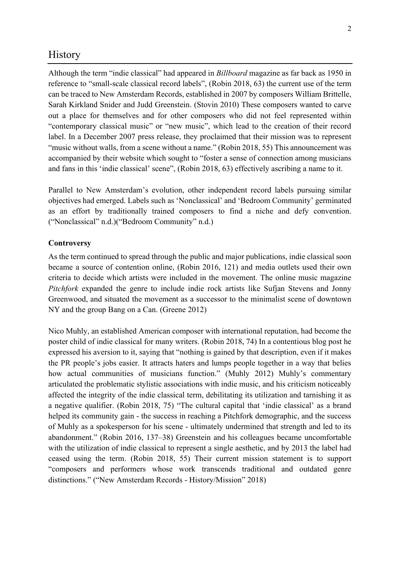## **History**

Although the term "indie classical" had appeared in *Billboard* magazine as far back as 1950 in reference to "small-scale classical record labels", [\(Robin 2018, 63\)](https://www.zotero.org/google-docs/?yVa3zT) the current use of the term can be traced to New Amsterdam Records, established in 2007 by composers William Brittelle, Sarah Kirkland Snider and Judd Greenstein. [\(Stovin 2010\)](https://www.zotero.org/google-docs/?XNXjmi) These composers wanted to carve out a place for themselves and for other composers who did not feel represented within "contemporary classical music" or "new music", which lead to the creation of their record label. In a December 2007 press release, they proclaimed that their mission was to represent "music without walls, from a scene without a name." [\(Robin 2018, 55\)](https://www.zotero.org/google-docs/?ibHEKO) This announcement was accompanied by their website which sought to "foster a sense of connection among musicians and fans in this 'indie classical' scene", [\(Robin 2018, 63\)](https://www.zotero.org/google-docs/?pZHzxV) effectively ascribing a name to it.

Parallel to New Amsterdam's evolution, other independent record labels pursuing similar objectives had emerged. Labels such as 'Nonclassical' and 'Bedroom Community' germinated as an effort by traditionally trained composers to find a niche and defy convention. ("[Nonclassical](https://www.zotero.org/google-docs/?yf9UDa)" n.d.)("[Bedroom Community](https://www.zotero.org/google-docs/?qYh7R9)" n.d.)

#### **Controversy**

As the term continued to spread through the public and major publications, indie classical soon became a source of contention online, [\(Robin 2016, 121\)](https://www.zotero.org/google-docs/?v6m7k3) and media outlets used their own criteria to decide which artists were included in the movement. The online music magazine *Pitchfork* expanded the genre to include indie rock artists like Sufjan Stevens and Jonny Greenwood, and situated the movement as a successor to the minimalist scene of downtown NY and the group Bang on a Can. [\(Greene 2012\)](https://www.zotero.org/google-docs/?HJp1ys)

Nico Muhly, an established American composer with international reputation, had become the poster child of indie classical for many writers. (Robin 2018, 74) In a contentious blog post he expressed his aversion to it, saying that "nothing is gained by that description, even if it makes the PR people's jobs easier. It attracts haters and lumps people together in a way that belies how actual communities of musicians function." [\(Muhly 2012\)](https://www.zotero.org/google-docs/?LED3oo) Muhly's commentary articulated the problematic stylistic associations with indie music, and his criticism noticeably affected the integrity of the indie classical term, debilitating its utilization and tarnishing it as a negative qualifier. [\(Robin 2018, 75\)](https://www.zotero.org/google-docs/?8YjZaK) "The cultural capital that 'indie classical' as a brand helped its community gain - the success in reaching a Pitchfork demographic, and the success of Muhly as a spokesperson for his scene - ultimately undermined that strength and led to its abandonment." [\(Robin 2016, 137](https://www.zotero.org/google-docs/?N8spsS)–38) Greenstein and his colleagues became uncomfortable with the utilization of indie classical to represent a single aesthetic, and by 2013 the label had ceased using the term. [\(Robin 2018, 55\)](https://www.zotero.org/google-docs/?UBmrY5) Their current mission statement is to support "composers and performers whose work transcends traditional and outdated genre distinctions." [\("New Amsterdam Records](https://www.zotero.org/google-docs/?5VPtA1) - History/Mission" 2018)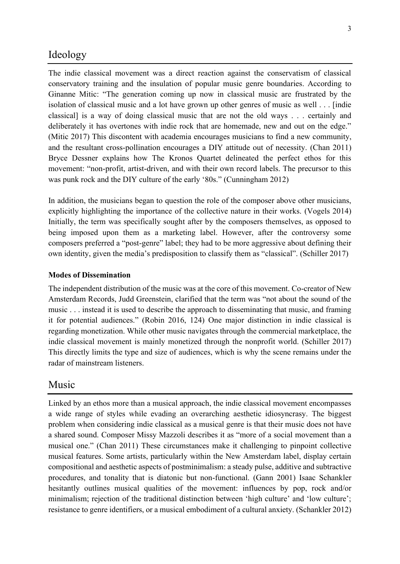## Ideology

The indie classical movement was a direct reaction against the conservatism of classical conservatory training and the insulation of popular music genre boundaries. According to Ginanne Mitic: "The generation coming up now in classical music are frustrated by the isolation of classical music and a lot have grown up other genres of music as well . . . [indie classical] is a way of doing classical music that are not the old ways . . . certainly and deliberately it has overtones with indie rock that are homemade, new and out on the edge." [\(Mitic 2017\)](https://www.zotero.org/google-docs/?R1Ongm) This discontent with academia encourages musicians to find a new community, and the resultant cross-pollination encourages a DIY attitude out of necessity. [\(Chan 2011\)](https://www.zotero.org/google-docs/?nr9rXN) Bryce Dessner explains how The Kronos Quartet delineated the perfect ethos for this movement: "non-profit, artist-driven, and with their own record labels. The precursor to this was punk rock and the DIY culture of the early '80s." [\(Cunningham 2012\)](https://www.zotero.org/google-docs/?fSH9s0)

In addition, the musicians began to question the role of the composer above other musicians, explicitly highlighting the importance of the collective nature in their works. [\(Vogels 2014\)](https://www.zotero.org/google-docs/?KNO3DW) Initially, the term was specifically sought after by the composers themselves, as opposed to being imposed upon them as a marketing label. However, after the controversy some composers preferred a "post-genre" label; they had to be more aggressive about defining their own identity, given the media's predisposition to classify them as "classical". [\(Schiller 2017\)](https://www.zotero.org/google-docs/?ytv6P4)

#### **Modes of Dissemination**

The independent distribution of the music was at the core of this movement. Co-creator of New Amsterdam Records, Judd Greenstein, clarified that the term was "not about the sound of the music . . . instead it is used to describe the approach to disseminating that music, and framing it for potential audiences." (Robin 2016, 124) One major distinction in indie classical is regarding monetization. While other music navigates through the commercial marketplace, the indie classical movement is mainly monetized through the nonprofit world. (Schiller 2017) This directly limits the type and size of audiences, which is why the scene remains under the radar of mainstream listeners.

## Music

Linked by an ethos more than a musical approach, the indie classical movement encompasses a wide range of styles while evading an overarching aesthetic idiosyncrasy. The biggest problem when considering indie classical as a musical genre is that their music does not have a shared sound. Composer Missy Mazzoli describes it as "more of a social movement than a musical one." [\(Chan 2011\)](https://www.zotero.org/google-docs/?iyfLQR) These circumstances make it challenging to pinpoint collective musical features. Some artists, particularly within the New Amsterdam label, display certain compositional and aesthetic aspects of postminimalism: a steady pulse, additive and subtractive procedures, and tonality that is diatonic but non-functional. [\(Gann 2001\)](https://www.zotero.org/google-docs/?lXruJ5) Isaac Schankler hesitantly outlines musical qualities of the movement: influences by pop, rock and/or minimalism; rejection of the traditional distinction between 'high culture' and 'low culture'; resistance to genre identifiers, or a musical embodiment of a cultural anxiety. [\(Schankler 2012\)](https://www.zotero.org/google-docs/?3ATiyf)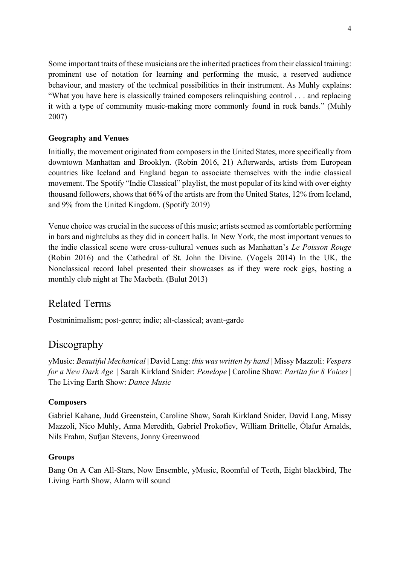Some important traits of these musicians are the inherited practices from their classical training: prominent use of notation for learning and performing the music, a reserved audience behaviour, and mastery of the technical possibilities in their instrument. As Muhly explains: "What you have here is classically trained composers relinquishing control . . . and replacing it with a type of community music-making more commonly found in rock bands." [\(Muhly](https://www.zotero.org/google-docs/?N4ceD3)  [2007\)](https://www.zotero.org/google-docs/?N4ceD3)

## **Geography and Venues**

Initially, the movement originated from composers in the United States, more specifically from downtown Manhattan and Brooklyn. [\(Robin 2016, 21\)](https://www.zotero.org/google-docs/?1QUrFG) Afterwards, artists from European countries like Iceland and England began to associate themselves with the indie classical movement. The Spotify "Indie Classical" playlist, the most popular of its kind with over eighty thousand followers, shows that 66% of the artists are from the United States, 12% from Iceland, and 9% from the United Kingdom. [\(Spotify 2019\)](https://www.zotero.org/google-docs/?HK6G6u)

Venue choice was crucial in the success of this music; artists seemed as comfortable performing in bars and nightclubs as they did in concert halls. In New York, the most important venues to the indie classical scene were cross-cultural venues such as Manhattan's *Le Poisson Rouge* [\(Robin 2016\)](https://www.zotero.org/google-docs/?rFcEY3) and the Cathedral of St. John the Divine. [\(Vogels 2014\)](https://www.zotero.org/google-docs/?ccH5uO) In the UK, the Nonclassical record label presented their showcases as if they were rock gigs, hosting a monthly club night at The Macbeth. [\(Bulut 2013\)](https://www.zotero.org/google-docs/?wlUPM7)

# Related Terms

Postminimalism; post-genre; indie; alt-classical; avant-garde

# Discography

yMusic: *Beautiful Mechanical* | David Lang: *this was written by hand* | Missy Mazzoli: *Vespers for a New Dark Age* | Sarah Kirkland Snider: *Penelope* | Caroline Shaw: *Partita for 8 Voices* | The Living Earth Show: *Dance Music*

### **Composers**

Gabriel Kahane, Judd Greenstein, Caroline Shaw, Sarah Kirkland Snider, David Lang, Missy Mazzoli, Nico Muhly, Anna Meredith, Gabriel Prokofiev, William Brittelle, Ólafur Arnalds, Nils Frahm, Sufjan Stevens, Jonny Greenwood

### **Groups**

Bang On A Can All-Stars, Now Ensemble, yMusic, Roomful of Teeth, Eight blackbird, The Living Earth Show, Alarm will sound